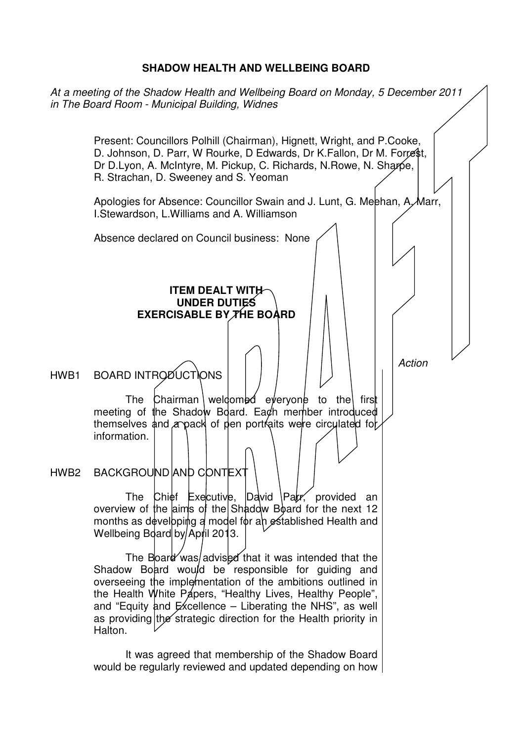#### **SHADOW HEALTH AND WELLBEING BOARD**

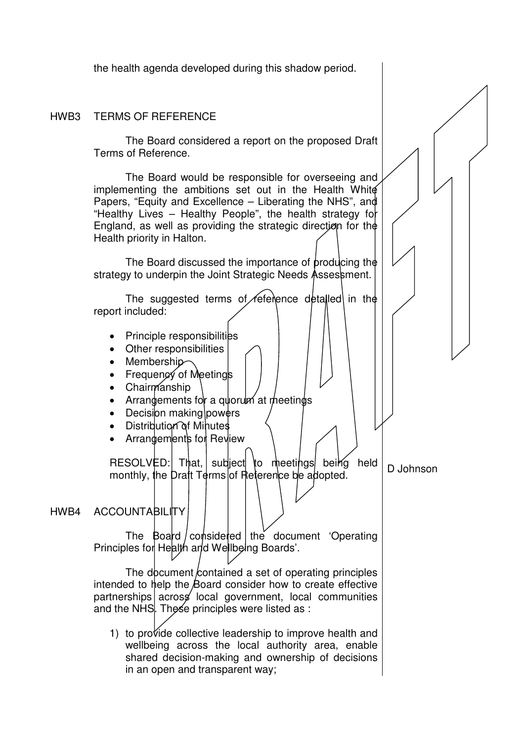the health agenda developed during this shadow period.

#### HWB3 TERMS OF REFERENCE

 The Board considered a report on the proposed Draft Terms of Reference.

 The Board would be responsible for overseeing and implementing the ambitions set out in the Health White Papers, "Equity and Excellence – Liberating the NHS", and "Healthy Lives – Healthy People", the health strategy for England, as well as providing the strategic direction for the Health priority in Halton.

The Board discussed the importance of producing the strategy to underpin the Joint Strategic Needs Assessment.

The suggested terms of *feisience* detailed in the report included:

- Principle responsibilities
- Other responsibilities
- Membership
- Frequency of Meetings
- Chairmanship
- Arrangements for a quorum at meetings
- Decision making powers
- Distribution of Minutes
- Arrangements for Review

 $RESOLVED:$  That, subject to meetings being held mesol ved. That, sudiect to meetings being neld D Johnson<br>monthly, the Draft Terms of Reference be adopted.

#### HWB4 ACCOUNTABILITY

The Board / considered | the document 'Operating Principles for Health and Wellbeing Boards'.

The document contained a set of operating principles intended to help the Board consider how to create effective partnerships across local government, local communities and the NHS. These principles were listed as :

1) to provide collective leadership to improve health and wellbeing across the local authority area, enable shared decision-making and ownership of decisions in an open and transparent way;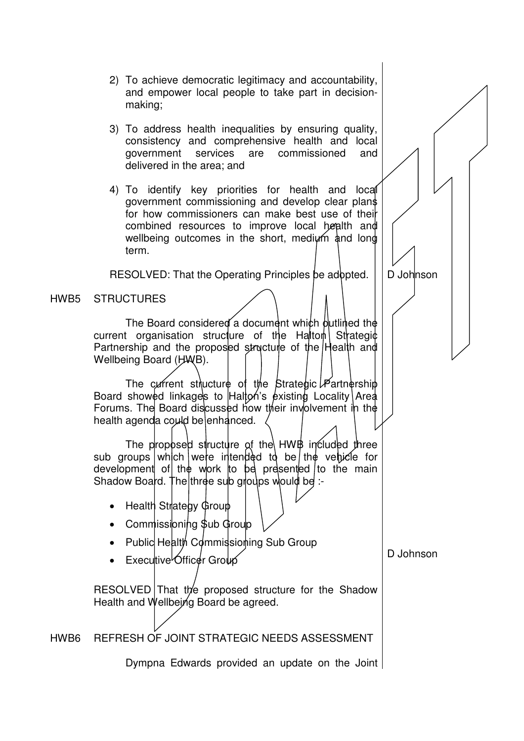- 2) To achieve democratic legitimacy and accountability, and empower local people to take part in decisionmaking;
- 3) To address health inequalities by ensuring quality, consistency and comprehensive health and local government services are commissioned and delivered in the area; and
- 4) To identify key priorities for health and local government commissioning and develop clear plans for how commissioners can make best use of their combined resources to improve local health and wellbeing outcomes in the short, medium and long term.

RESOLVED: That the Operating Principles be adopted.  $\Box$  D Johnson

### HWB5 STRUCTURES

The Board considered a document which butlined the current organisation structure of the Halton Strategic Partnership and the proposed structure of the Health and Wellbeing Board (HWB).

The current structure of the Strategic  $\cancel{P}$ artnership Board showed linkages to  $H$ alton's existing Locality Area Forums. The Board discussed how their involvement in the health agenda could be enhanced.

The proposed structure of the  $HWH$  included three sub groups which were intended to be the vehicle for development of the work to be presented to the main Shadow Board. The three sub groups would be :-

- Health Strategy  $Group$
- Commissioning \$ub Group
- Public Health Commission ing Sub Group
- Executive Officer Group

RESOLVED That the proposed structure for the Shadow Health and Wellbeing Board be agreed.

HWB6 REFRESH OF JOINT STRATEGIC NEEDS ASSESSMENT

Dympna Edwards provided an update on the Joint

D Johnson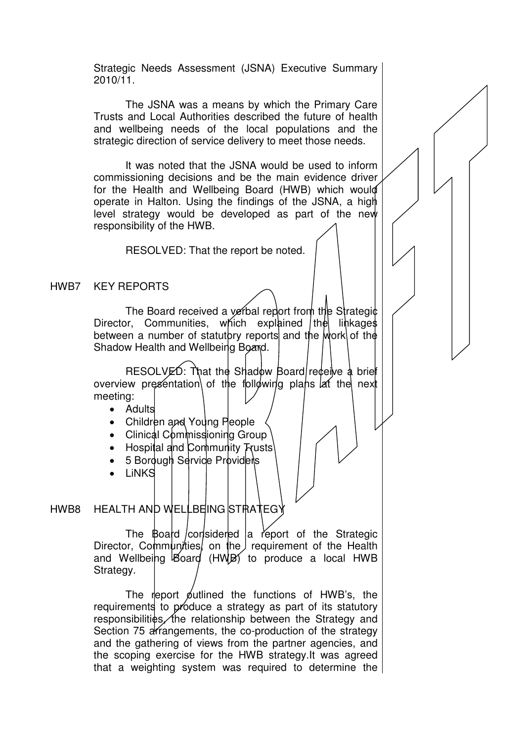Strategic Needs Assessment (JSNA) Executive Summary 2010/11.

The JSNA was a means by which the Primary Care Trusts and Local Authorities described the future of health and wellbeing needs of the local populations and the strategic direction of service delivery to meet those needs.

It was noted that the JSNA would be used to inform commissioning decisions and be the main evidence driver for the Health and Wellbeing Board (HWB) which would operate in Halton. Using the findings of the JSNA, a high level strategy would be developed as part of the new responsibility of the HWB.

RESOLVED: That the report be noted.

#### HWB7 KEY REPORTS

The Board received a verbal report from the Strategic  $Director$ . Communities, which explained  $|$ the linkages between a number of statutory reports and the work of the Shadow Health and Wellbeing Board.

RESOLVED: That the Shadow Board receive a brief overview presentation of the following plans lat the next meeting:

- Adults
- Children and Young People
- Clinical Commissioning Group
- Hospital and Community Trusts
- 5 Bordugh Service Providers
- LiNKS

## HWB8 HEALTH AND WELLBEING STRATEGY

The  $\beta$ oard considered a report of the Strategic Director, Communities, on the requirement of the Health and Wellbeing Board (HWB) to produce a local HWB Strategy.

The report putlined the functions of  $HWB's$ , the requirements to produce a strategy as part of its statutory responsibilities, the relationship between the Strategy and Section 75 arrangements, the co-production of the strategy and the gathering of views from the partner agencies, and the scoping exercise for the HWB strategy.It was agreed that a weighting system was required to determine the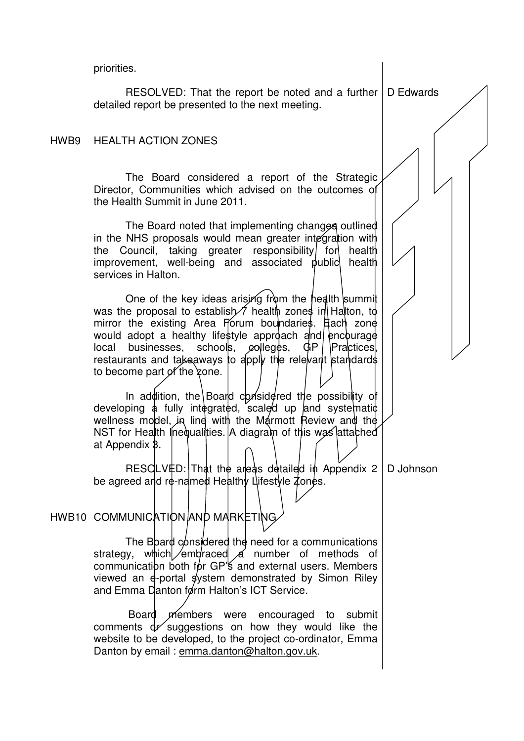